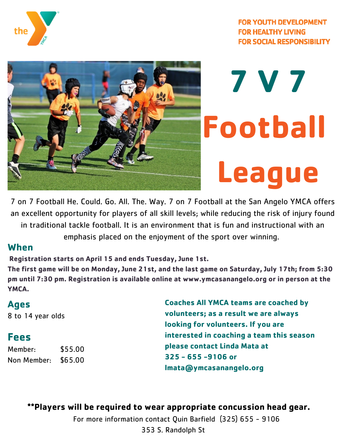



## **7 V 7 Football League**

7 on 7 Football He. Could. Go. All. The. Way. 7 on 7 Football at the San Angelo YMCA offers an excellent opportunity for players of all skill levels; while reducing the risk of injury found in traditional tackle football. It is an environment that is fun and instructional with an emphasis placed on the enjoyment of the sport over winning.

## **When**

**Registration starts on April 15 and ends Tuesday, June 1st.**

The first game will be on Monday, June 21st, and the last game on Saturday, July 17th; from 5:30 **pm until 7:30 pm. Registration is available online at www.ymcasanangelo.org or in person at the YMCA.**

## **Ages** 8 to 14 year olds **Fees** Member: \$55.00 Non Member: \$65.00 **Coaches All YMCA teams are coached by volunteers; as a result we are always looking for volunteers. If you are interested in coaching a team this season please contact Linda Mata at 325 - 655 -9106 or lmata@ymcasanangelo.org**

**\*\*Players will be required to wear appropriate concussion head gear.**

For more information contact Quin Barfield (325) 655 - 9106 353 S. Randolph St